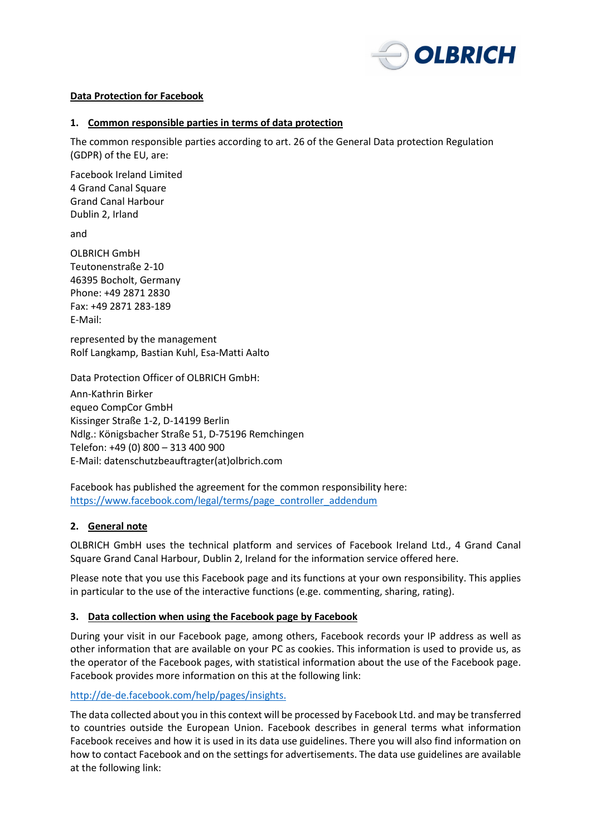

### **Data Protection for Facebook**

### **1. Common responsible parties in terms of data protection**

The common responsible parties according to art. 26 of the General Data protection Regulation (GDPR) of the EU, are:

Facebook Ireland Limited 4 Grand Canal Square Grand Canal Harbour Dublin 2, Irland

and

OLBRICH GmbH Teutonenstraße 2-10 46395 Bocholt, Germany Phone: +49 2871 2830 Fax: +49 2871 283-189 E-Mail:

represented by the management Rolf Langkamp, Bastian Kuhl, Esa-Matti Aalto

Data Protection Officer of OLBRICH GmbH: Ann-Kathrin Birker equeo CompCor GmbH Kissinger Straße 1-2, D-14199 Berlin Ndlg.: Königsbacher Straße 51, D-75196 Remchingen Telefon: +49 (0) 800 – 313 400 900 E-Mail: datenschutzbeauftragter(at)olbrich.com

Facebook has published the agreement for the common responsibility here: https://www.facebook.com/legal/terms/page\_controller\_addendum

# **2. General note**

OLBRICH GmbH uses the technical platform and services of Facebook Ireland Ltd., 4 Grand Canal Square Grand Canal Harbour, Dublin 2, Ireland for the information service offered here.

Please note that you use this Facebook page and its functions at your own responsibility. This applies in particular to the use of the interactive functions (e.ge. commenting, sharing, rating).

# **3. Data collection when using the Facebook page by Facebook**

During your visit in our Facebook page, among others, Facebook records your IP address as well as other information that are available on your PC as cookies. This information is used to provide us, as the operator of the Facebook pages, with statistical information about the use of the Facebook page. Facebook provides more information on this at the following link:

# http://de-de.facebook.com/help/pages/insights.

The data collected about you in this context will be processed by Facebook Ltd. and may be transferred to countries outside the European Union. Facebook describes in general terms what information Facebook receives and how it is used in its data use guidelines. There you will also find information on how to contact Facebook and on the settings for advertisements. The data use guidelines are available at the following link: